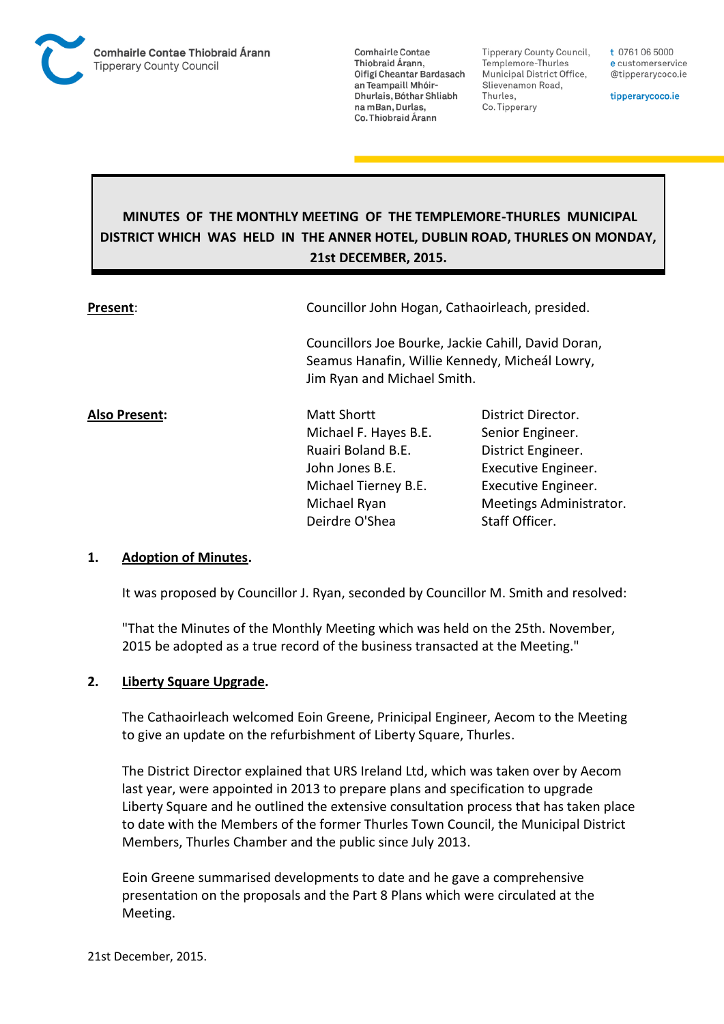

**Tipperary County Council,** Templemore-Thurles Municipal District Office, Slievenamon Road, Thurles, Co. Tipperary

t 0761 06 5000 e customerservice @tipperarycoco.ie

tipperarycoco.ie

# **MINUTES OF THE MONTHLY MEETING OF THE TEMPLEMORE-THURLES MUNICIPAL DISTRICT WHICH WAS HELD IN THE ANNER HOTEL, DUBLIN ROAD, THURLES ON MONDAY, 21st DECEMBER, 2015.**

| Present:      | Councillor John Hogan, Cathaoirleach, presided.<br>Councillors Joe Bourke, Jackie Cahill, David Doran,<br>Seamus Hanafin, Willie Kennedy, Micheál Lowry,<br>Jim Ryan and Michael Smith. |                         |  |
|---------------|-----------------------------------------------------------------------------------------------------------------------------------------------------------------------------------------|-------------------------|--|
|               |                                                                                                                                                                                         |                         |  |
| Also Present: | <b>Matt Shortt</b>                                                                                                                                                                      | District Director.      |  |
|               | Michael F. Hayes B.E.                                                                                                                                                                   | Senior Engineer.        |  |
|               | Ruairi Boland B.E.                                                                                                                                                                      | District Engineer.      |  |
|               | John Jones B.E.                                                                                                                                                                         | Executive Engineer.     |  |
|               | Michael Tierney B.E.                                                                                                                                                                    | Executive Engineer.     |  |
|               | Michael Ryan                                                                                                                                                                            | Meetings Administrator. |  |
|               | Deirdre O'Shea                                                                                                                                                                          | Staff Officer.          |  |

#### **1. Adoption of Minutes.**

It was proposed by Councillor J. Ryan, seconded by Councillor M. Smith and resolved:

"That the Minutes of the Monthly Meeting which was held on the 25th. November, 2015 be adopted as a true record of the business transacted at the Meeting."

#### **2. Liberty Square Upgrade.**

The Cathaoirleach welcomed Eoin Greene, Prinicipal Engineer, Aecom to the Meeting to give an update on the refurbishment of Liberty Square, Thurles.

The District Director explained that URS Ireland Ltd, which was taken over by Aecom last year, were appointed in 2013 to prepare plans and specification to upgrade Liberty Square and he outlined the extensive consultation process that has taken place to date with the Members of the former Thurles Town Council, the Municipal District Members, Thurles Chamber and the public since July 2013.

Eoin Greene summarised developments to date and he gave a comprehensive presentation on the proposals and the Part 8 Plans which were circulated at the Meeting.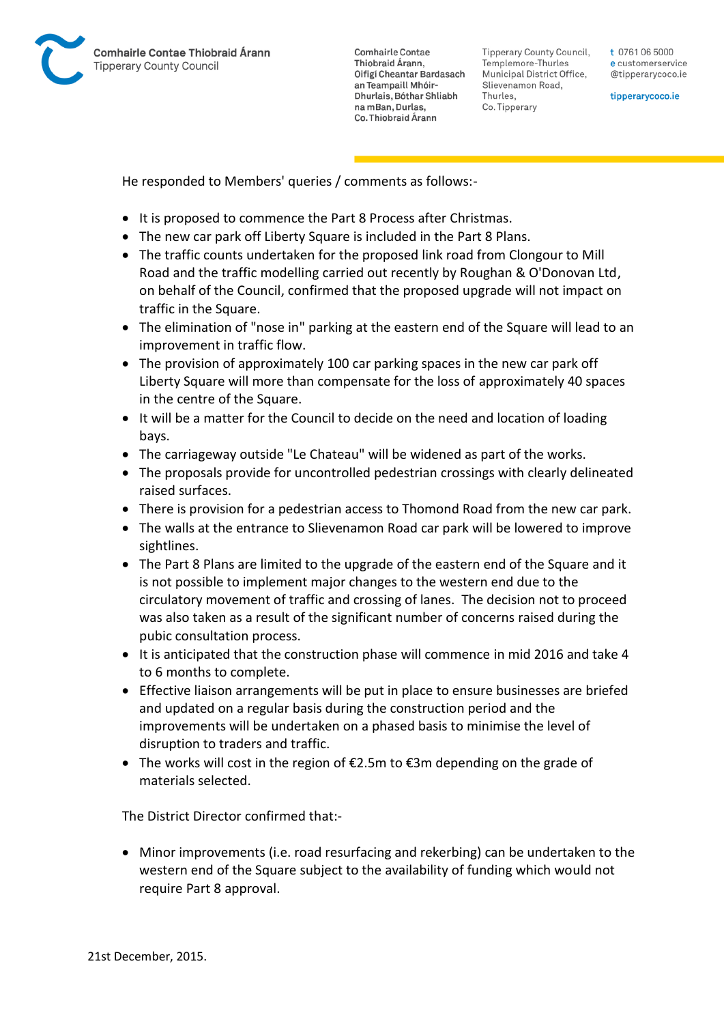

Tipperary County Council. Templemore-Thurles Municipal District Office, Slievenamon Road, Thurles, Co. Tipperary

t 0761 06 5000 e customerservice @tipperarycoco.ie

tipperarycoco.ie

He responded to Members' queries / comments as follows:-

- It is proposed to commence the Part 8 Process after Christmas.
- The new car park off Liberty Square is included in the Part 8 Plans.
- The traffic counts undertaken for the proposed link road from Clongour to Mill Road and the traffic modelling carried out recently by Roughan & O'Donovan Ltd, on behalf of the Council, confirmed that the proposed upgrade will not impact on traffic in the Square.
- The elimination of "nose in" parking at the eastern end of the Square will lead to an improvement in traffic flow.
- The provision of approximately 100 car parking spaces in the new car park off Liberty Square will more than compensate for the loss of approximately 40 spaces in the centre of the Square.
- It will be a matter for the Council to decide on the need and location of loading bays.
- The carriageway outside "Le Chateau" will be widened as part of the works.
- The proposals provide for uncontrolled pedestrian crossings with clearly delineated raised surfaces.
- There is provision for a pedestrian access to Thomond Road from the new car park.
- The walls at the entrance to Slievenamon Road car park will be lowered to improve sightlines.
- The Part 8 Plans are limited to the upgrade of the eastern end of the Square and it is not possible to implement major changes to the western end due to the circulatory movement of traffic and crossing of lanes. The decision not to proceed was also taken as a result of the significant number of concerns raised during the pubic consultation process.
- It is anticipated that the construction phase will commence in mid 2016 and take 4 to 6 months to complete.
- Effective liaison arrangements will be put in place to ensure businesses are briefed and updated on a regular basis during the construction period and the improvements will be undertaken on a phased basis to minimise the level of disruption to traders and traffic.
- The works will cost in the region of  $E2.5$ m to  $E3m$  depending on the grade of materials selected.

The District Director confirmed that:-

 Minor improvements (i.e. road resurfacing and rekerbing) can be undertaken to the western end of the Square subject to the availability of funding which would not require Part 8 approval.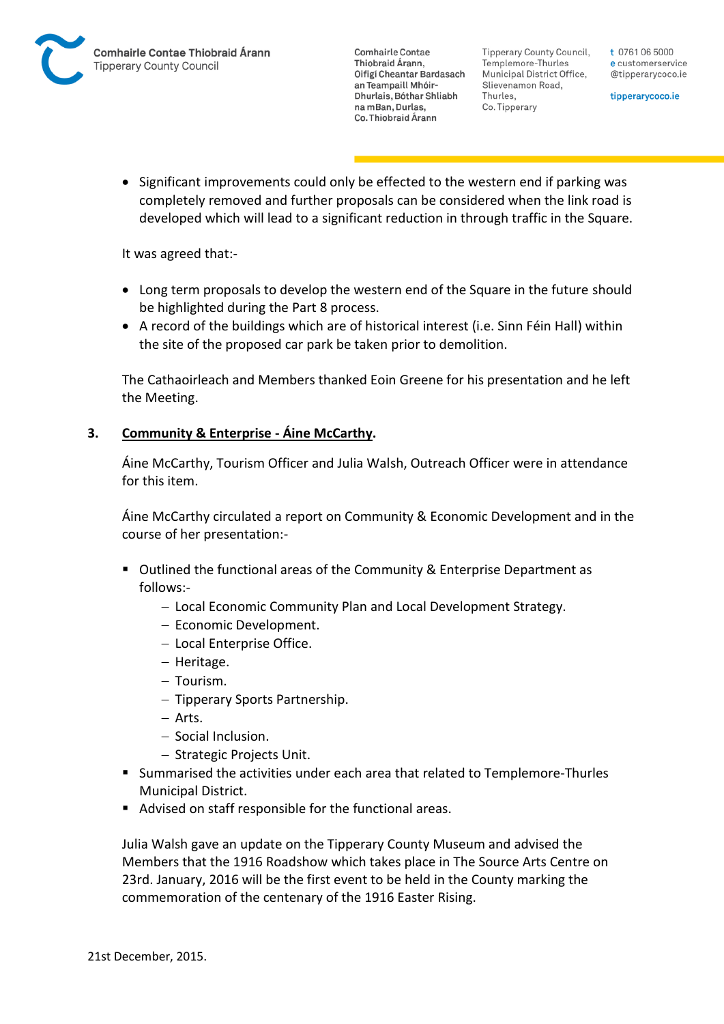Tipperary County Council. Templemore-Thurles Municipal District Office, Slievenamon Road, Thurles, Co. Tipperary

t 0761 06 5000 e customerservice @tipperarycoco.ie

tipperarycoco.ie

• Significant improvements could only be effected to the western end if parking was completely removed and further proposals can be considered when the link road is developed which will lead to a significant reduction in through traffic in the Square.

It was agreed that:-

- Long term proposals to develop the western end of the Square in the future should be highlighted during the Part 8 process.
- A record of the buildings which are of historical interest (i.e. Sinn Féin Hall) within the site of the proposed car park be taken prior to demolition.

The Cathaoirleach and Members thanked Eoin Greene for his presentation and he left the Meeting.

## **3. Community & Enterprise - Áine McCarthy.**

Áine McCarthy, Tourism Officer and Julia Walsh, Outreach Officer were in attendance for this item.

Áine McCarthy circulated a report on Community & Economic Development and in the course of her presentation:-

- Outlined the functional areas of the Community & Enterprise Department as follows:-
	- Local Economic Community Plan and Local Development Strategy.
	- Economic Development.
	- Local Enterprise Office.
	- $-$  Heritage.
	- Tourism.
	- Tipperary Sports Partnership.
	- Arts.
	- Social Inclusion.
	- Strategic Projects Unit.
- Summarised the activities under each area that related to Templemore-Thurles Municipal District.
- Advised on staff responsible for the functional areas.

Julia Walsh gave an update on the Tipperary County Museum and advised the Members that the 1916 Roadshow which takes place in The Source Arts Centre on 23rd. January, 2016 will be the first event to be held in the County marking the commemoration of the centenary of the 1916 Easter Rising.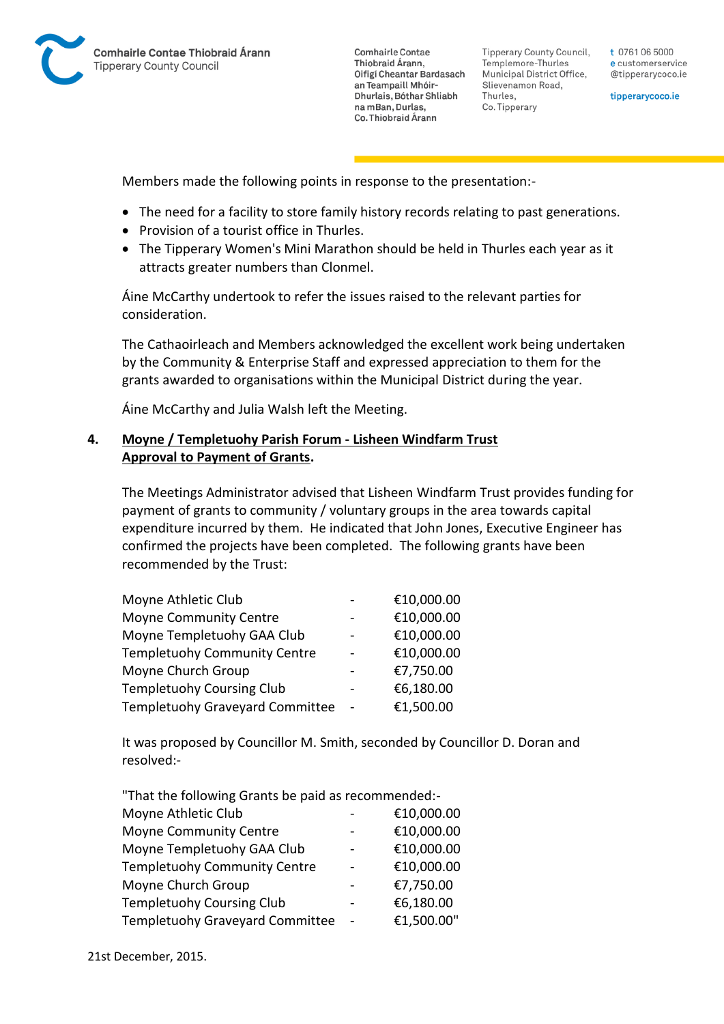

**Tipperary County Council,** Templemore-Thurles Municipal District Office, Slievenamon Road, Thurles, Co. Tipperary

t 0761 06 5000 e customerservice @tipperarycoco.ie

tipperarycoco.ie

Members made the following points in response to the presentation:-

- The need for a facility to store family history records relating to past generations.
- Provision of a tourist office in Thurles.
- The Tipperary Women's Mini Marathon should be held in Thurles each year as it attracts greater numbers than Clonmel.

Áine McCarthy undertook to refer the issues raised to the relevant parties for consideration.

The Cathaoirleach and Members acknowledged the excellent work being undertaken by the Community & Enterprise Staff and expressed appreciation to them for the grants awarded to organisations within the Municipal District during the year.

Áine McCarthy and Julia Walsh left the Meeting.

## **4. Moyne / Templetuohy Parish Forum - Lisheen Windfarm Trust Approval to Payment of Grants.**

The Meetings Administrator advised that Lisheen Windfarm Trust provides funding for payment of grants to community / voluntary groups in the area towards capital expenditure incurred by them. He indicated that John Jones, Executive Engineer has confirmed the projects have been completed. The following grants have been recommended by the Trust:

| Moyne Athletic Club                 | €10,000.00 |
|-------------------------------------|------------|
| <b>Moyne Community Centre</b>       | €10,000.00 |
| Moyne Templetuohy GAA Club          | €10,000.00 |
| <b>Templetuohy Community Centre</b> | €10,000.00 |
| Moyne Church Group                  | €7,750.00  |
| <b>Templetuohy Coursing Club</b>    | €6,180.00  |
| Templetuohy Graveyard Committee     | €1,500.00  |

It was proposed by Councillor M. Smith, seconded by Councillor D. Doran and resolved:-

| "That the following Grants be paid as recommended:- |            |
|-----------------------------------------------------|------------|
| Moyne Athletic Club                                 | €10,000.00 |
| <b>Moyne Community Centre</b>                       | €10,000.00 |
| Moyne Templetuohy GAA Club                          | €10,000.00 |
| Templetuohy Community Centre                        | €10,000.00 |
| Moyne Church Group                                  | €7,750.00  |
| <b>Templetuohy Coursing Club</b>                    | €6,180.00  |
| Templetuohy Graveyard Committee                     | €1,500.00" |

21st December, 2015.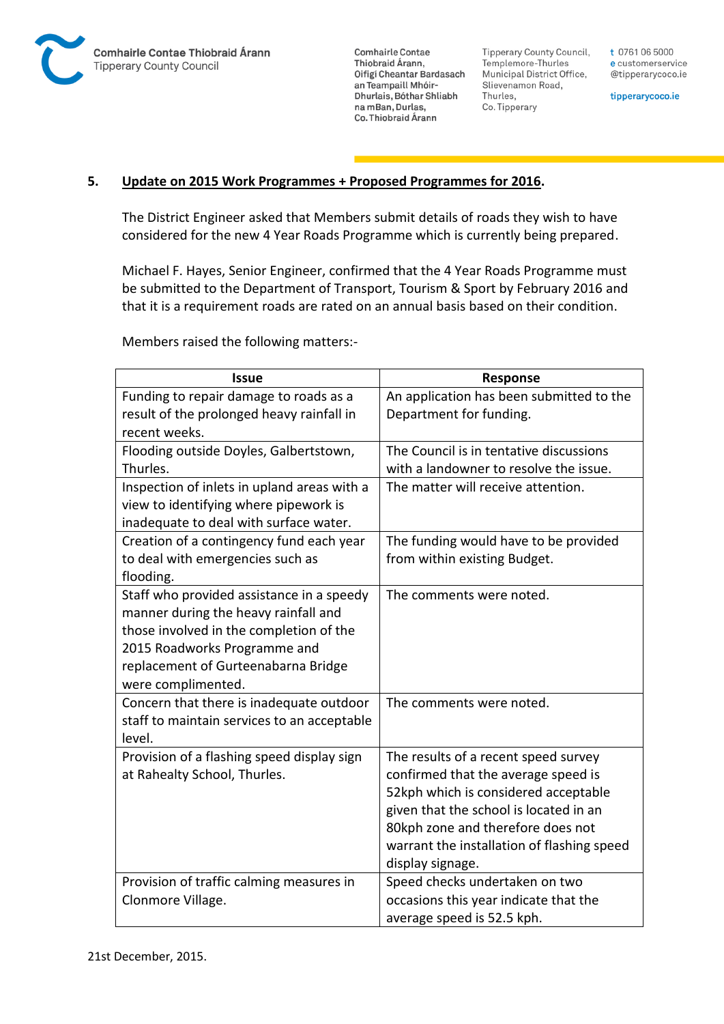

**Tipperary County Council,** Templemore-Thurles Municipal District Office, Slievenamon Road, Thurles, Co. Tipperary

t 0761 06 5000 e customerservice @tipperarycoco.ie

tipperarycoco.ie

### **5. Update on 2015 Work Programmes + Proposed Programmes for 2016.**

The District Engineer asked that Members submit details of roads they wish to have considered for the new 4 Year Roads Programme which is currently being prepared.

Michael F. Hayes, Senior Engineer, confirmed that the 4 Year Roads Programme must be submitted to the Department of Transport, Tourism & Sport by February 2016 and that it is a requirement roads are rated on an annual basis based on their condition.

Members raised the following matters:-

| <b>Issue</b>                                | Response                                   |
|---------------------------------------------|--------------------------------------------|
| Funding to repair damage to roads as a      | An application has been submitted to the   |
| result of the prolonged heavy rainfall in   | Department for funding.                    |
| recent weeks.                               |                                            |
| Flooding outside Doyles, Galbertstown,      | The Council is in tentative discussions    |
| Thurles.                                    | with a landowner to resolve the issue.     |
| Inspection of inlets in upland areas with a | The matter will receive attention.         |
| view to identifying where pipework is       |                                            |
| inadequate to deal with surface water.      |                                            |
| Creation of a contingency fund each year    | The funding would have to be provided      |
| to deal with emergencies such as            | from within existing Budget.               |
| flooding.                                   |                                            |
| Staff who provided assistance in a speedy   | The comments were noted.                   |
| manner during the heavy rainfall and        |                                            |
| those involved in the completion of the     |                                            |
| 2015 Roadworks Programme and                |                                            |
| replacement of Gurteenabarna Bridge         |                                            |
| were complimented.                          |                                            |
| Concern that there is inadequate outdoor    | The comments were noted.                   |
| staff to maintain services to an acceptable |                                            |
| level.                                      |                                            |
| Provision of a flashing speed display sign  | The results of a recent speed survey       |
| at Rahealty School, Thurles.                | confirmed that the average speed is        |
|                                             | 52kph which is considered acceptable       |
|                                             | given that the school is located in an     |
|                                             | 80kph zone and therefore does not          |
|                                             | warrant the installation of flashing speed |
|                                             | display signage.                           |
| Provision of traffic calming measures in    | Speed checks undertaken on two             |
| Clonmore Village.                           | occasions this year indicate that the      |
|                                             | average speed is 52.5 kph.                 |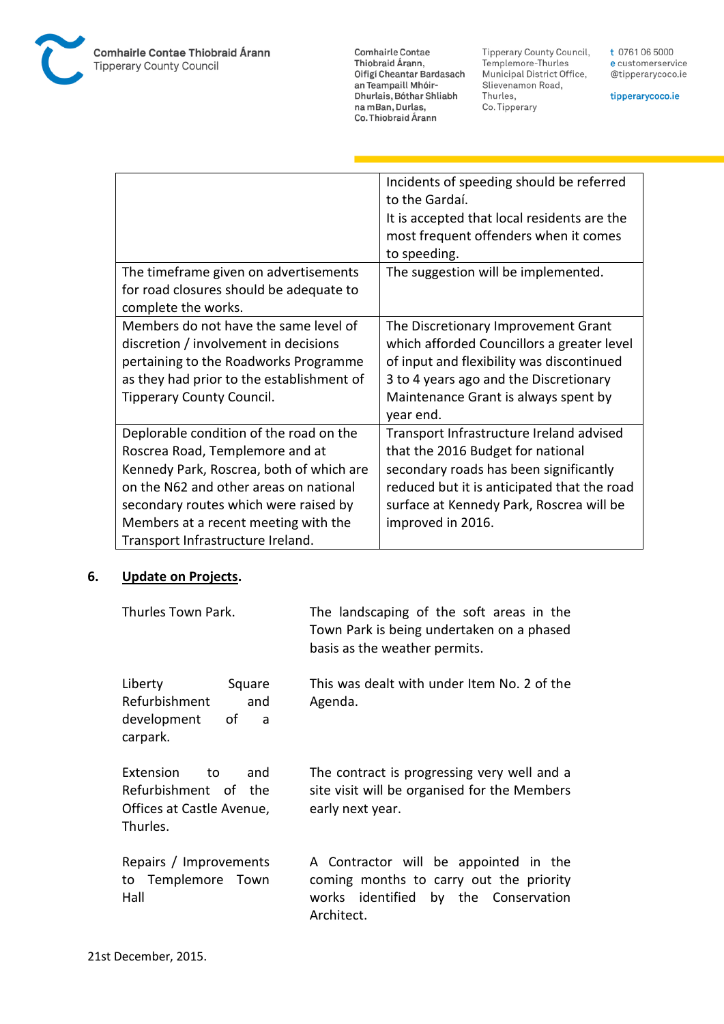

Comhairle Contae Commante Contae<br>Thiobraid Árann,<br>Oifigí Cheantar Bardasach an Teampaill Mhóir-Dhurlais, Bóthar Shliabh na mBan, Durlas,<br>Co. Thiobraid Árann

Tipperary County Council,<br>Templemore-Thurles<br>Municipal District Office, Slievenamon Road, Thurles, Co. Tipperary

tipperarycoco.ie

|                                           | Incidents of speeding should be referred    |
|-------------------------------------------|---------------------------------------------|
|                                           | to the Gardaí.                              |
|                                           | It is accepted that local residents are the |
|                                           | most frequent offenders when it comes       |
|                                           | to speeding.                                |
| The timeframe given on advertisements     | The suggestion will be implemented.         |
| for road closures should be adequate to   |                                             |
| complete the works.                       |                                             |
| Members do not have the same level of     | The Discretionary Improvement Grant         |
| discretion / involvement in decisions     | which afforded Councillors a greater level  |
| pertaining to the Roadworks Programme     | of input and flexibility was discontinued   |
| as they had prior to the establishment of | 3 to 4 years ago and the Discretionary      |
| <b>Tipperary County Council.</b>          | Maintenance Grant is always spent by        |
|                                           | year end.                                   |
| Deplorable condition of the road on the   | Transport Infrastructure Ireland advised    |
| Roscrea Road, Templemore and at           | that the 2016 Budget for national           |
| Kennedy Park, Roscrea, both of which are  | secondary roads has been significantly      |
| on the N62 and other areas on national    | reduced but it is anticipated that the road |
| secondary routes which were raised by     | surface at Kennedy Park, Roscrea will be    |
| Members at a recent meeting with the      | improved in 2016.                           |
| Transport Infrastructure Ireland.         |                                             |

### **6. Update on Projects.**

| Thurles Town Park.                                                                      | The landscaping of the soft areas in the<br>Town Park is being undertaken on a phased<br>basis as the weather permits.                 |
|-----------------------------------------------------------------------------------------|----------------------------------------------------------------------------------------------------------------------------------------|
| Liberty<br>Square<br>Refurbishment<br>and<br>development<br>0f<br>a<br>carpark.         | This was dealt with under Item No. 2 of the<br>Agenda.                                                                                 |
| Extension<br>and<br>to<br>Refurbishment of the<br>Offices at Castle Avenue,<br>Thurles. | The contract is progressing very well and a<br>site visit will be organised for the Members<br>early next year.                        |
| Repairs / Improvements<br>to Templemore Town<br>Hall                                    | A Contractor will be appointed in the<br>coming months to carry out the priority<br>works identified by the Conservation<br>Architect. |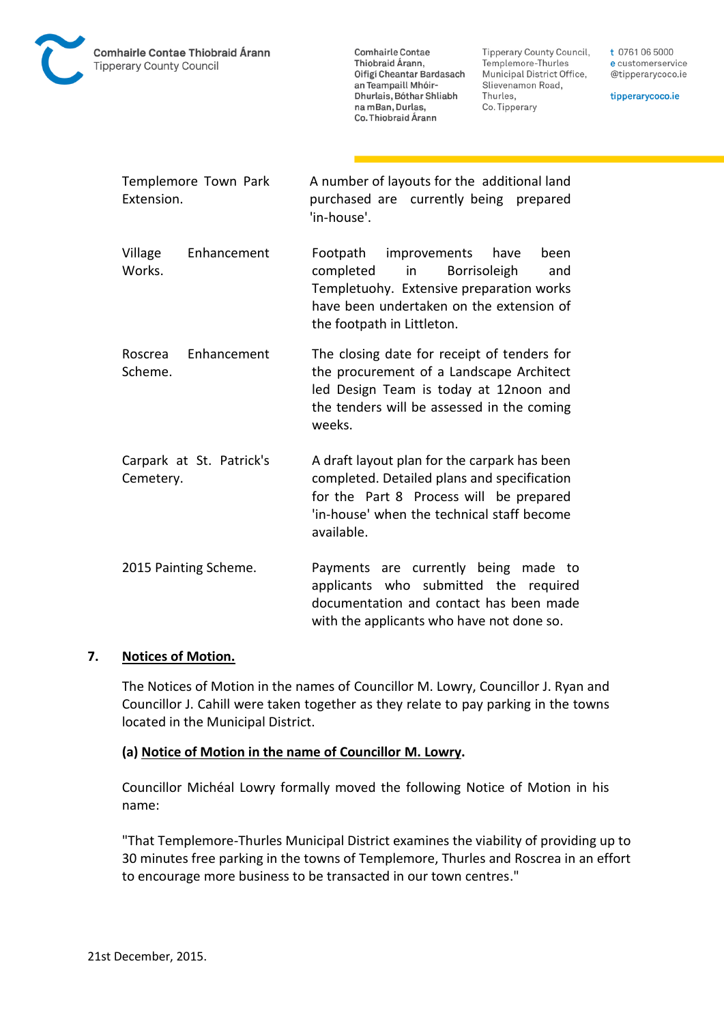

**Tipperary County Council,** Templemore-Thurles Municipal District Office, Slievenamon Road, Thurles, Co. Tipperary

t 0761 06 5000 e customerservice @tipperarycoco.ie

tipperarycoco.ie

| Extension.         | Templemore Town Park     | A number of layouts for the additional land<br>purchased are currently being prepared<br>'in-house'.                                                                                                       |
|--------------------|--------------------------|------------------------------------------------------------------------------------------------------------------------------------------------------------------------------------------------------------|
| Village<br>Works.  | Enhancement              | Footpath<br>improvements<br>have<br>been<br>completed<br>in a<br>Borrisoleigh<br>and<br>Templetuohy. Extensive preparation works<br>have been undertaken on the extension of<br>the footpath in Littleton. |
| Roscrea<br>Scheme. | Enhancement              | The closing date for receipt of tenders for<br>the procurement of a Landscape Architect<br>led Design Team is today at 12noon and<br>the tenders will be assessed in the coming<br>weeks.                  |
| Cemetery.          | Carpark at St. Patrick's | A draft layout plan for the carpark has been<br>completed. Detailed plans and specification<br>for the Part 8 Process will be prepared<br>'in-house' when the technical staff become<br>available.         |
|                    | 2015 Painting Scheme.    | Payments are currently being made to<br>applicants who submitted the required<br>documentation and contact has been made<br>with the applicants who have not done so.                                      |

## **7. Notices of Motion.**

The Notices of Motion in the names of Councillor M. Lowry, Councillor J. Ryan and Councillor J. Cahill were taken together as they relate to pay parking in the towns located in the Municipal District.

### **(a) Notice of Motion in the name of Councillor M. Lowry.**

Councillor Michéal Lowry formally moved the following Notice of Motion in his name:

"That Templemore-Thurles Municipal District examines the viability of providing up to 30 minutes free parking in the towns of Templemore, Thurles and Roscrea in an effort to encourage more business to be transacted in our town centres."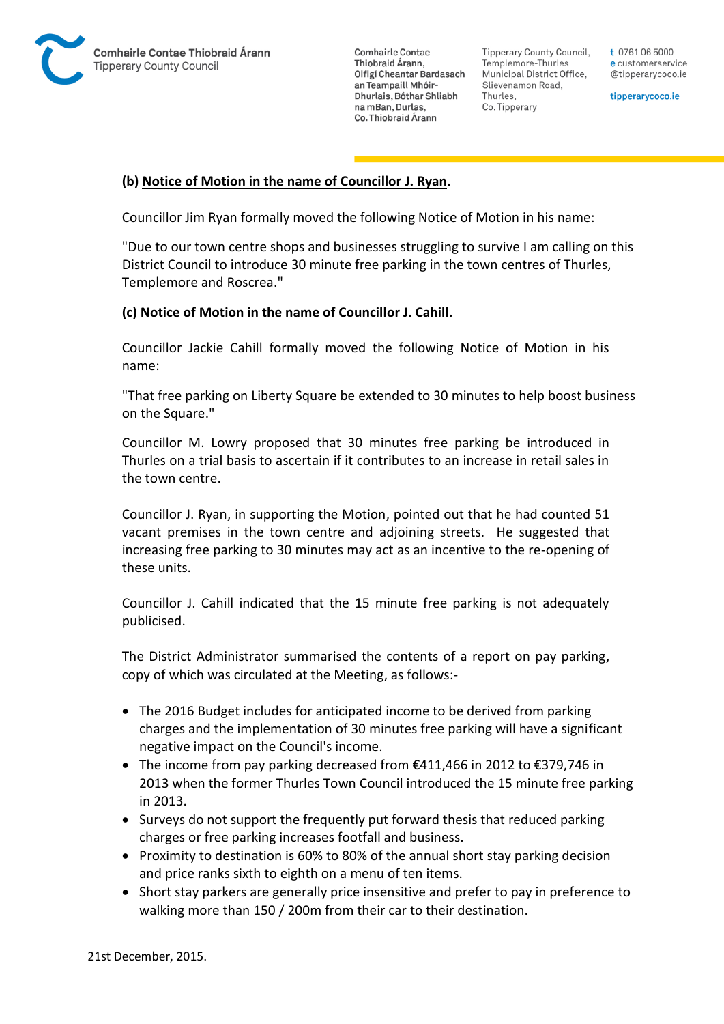

Tipperary County Council. Templemore-Thurles Municipal District Office, Slievenamon Road, Thurles, Co. Tipperary

t 0761 06 5000 e customerservice @tipperarycoco.ie

tipperarycoco.ie

### **(b) Notice of Motion in the name of Councillor J. Ryan.**

Councillor Jim Ryan formally moved the following Notice of Motion in his name:

"Due to our town centre shops and businesses struggling to survive I am calling on this District Council to introduce 30 minute free parking in the town centres of Thurles, Templemore and Roscrea."

### **(c) Notice of Motion in the name of Councillor J. Cahill.**

Councillor Jackie Cahill formally moved the following Notice of Motion in his name:

"That free parking on Liberty Square be extended to 30 minutes to help boost business on the Square."

Councillor M. Lowry proposed that 30 minutes free parking be introduced in Thurles on a trial basis to ascertain if it contributes to an increase in retail sales in the town centre.

Councillor J. Ryan, in supporting the Motion, pointed out that he had counted 51 vacant premises in the town centre and adjoining streets. He suggested that increasing free parking to 30 minutes may act as an incentive to the re-opening of these units.

Councillor J. Cahill indicated that the 15 minute free parking is not adequately publicised.

The District Administrator summarised the contents of a report on pay parking, copy of which was circulated at the Meeting, as follows:-

- The 2016 Budget includes for anticipated income to be derived from parking charges and the implementation of 30 minutes free parking will have a significant negative impact on the Council's income.
- The income from pay parking decreased from  $€411,466$  in 2012 to  $€379,746$  in 2013 when the former Thurles Town Council introduced the 15 minute free parking in 2013.
- Surveys do not support the frequently put forward thesis that reduced parking charges or free parking increases footfall and business.
- Proximity to destination is 60% to 80% of the annual short stay parking decision and price ranks sixth to eighth on a menu of ten items.
- Short stay parkers are generally price insensitive and prefer to pay in preference to walking more than 150 / 200m from their car to their destination.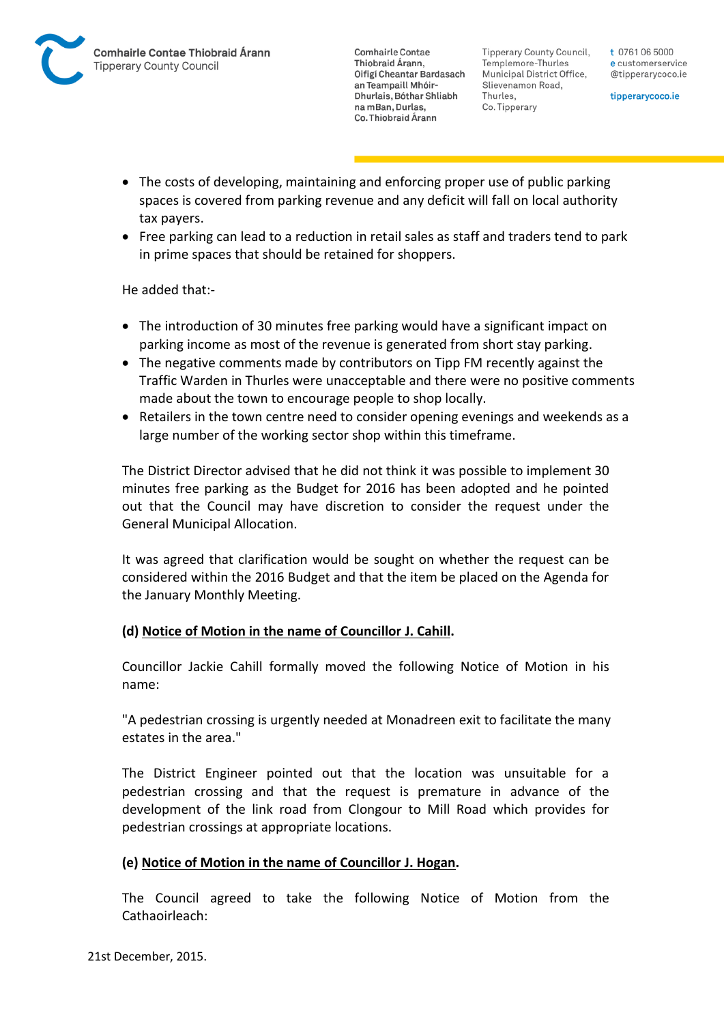Tipperary County Council. Templemore-Thurles Municipal District Office, Slievenamon Road, Thurles, Co. Tipperary

t 0761 06 5000 e customerservice @tipperarycoco.ie

tipperarycoco.ie

- The costs of developing, maintaining and enforcing proper use of public parking spaces is covered from parking revenue and any deficit will fall on local authority tax payers.
- Free parking can lead to a reduction in retail sales as staff and traders tend to park in prime spaces that should be retained for shoppers.

He added that:-

- The introduction of 30 minutes free parking would have a significant impact on parking income as most of the revenue is generated from short stay parking.
- The negative comments made by contributors on Tipp FM recently against the Traffic Warden in Thurles were unacceptable and there were no positive comments made about the town to encourage people to shop locally.
- Retailers in the town centre need to consider opening evenings and weekends as a large number of the working sector shop within this timeframe.

The District Director advised that he did not think it was possible to implement 30 minutes free parking as the Budget for 2016 has been adopted and he pointed out that the Council may have discretion to consider the request under the General Municipal Allocation.

It was agreed that clarification would be sought on whether the request can be considered within the 2016 Budget and that the item be placed on the Agenda for the January Monthly Meeting.

## **(d) Notice of Motion in the name of Councillor J. Cahill.**

Councillor Jackie Cahill formally moved the following Notice of Motion in his name:

"A pedestrian crossing is urgently needed at Monadreen exit to facilitate the many estates in the area."

The District Engineer pointed out that the location was unsuitable for a pedestrian crossing and that the request is premature in advance of the development of the link road from Clongour to Mill Road which provides for pedestrian crossings at appropriate locations.

## **(e) Notice of Motion in the name of Councillor J. Hogan.**

The Council agreed to take the following Notice of Motion from the Cathaoirleach: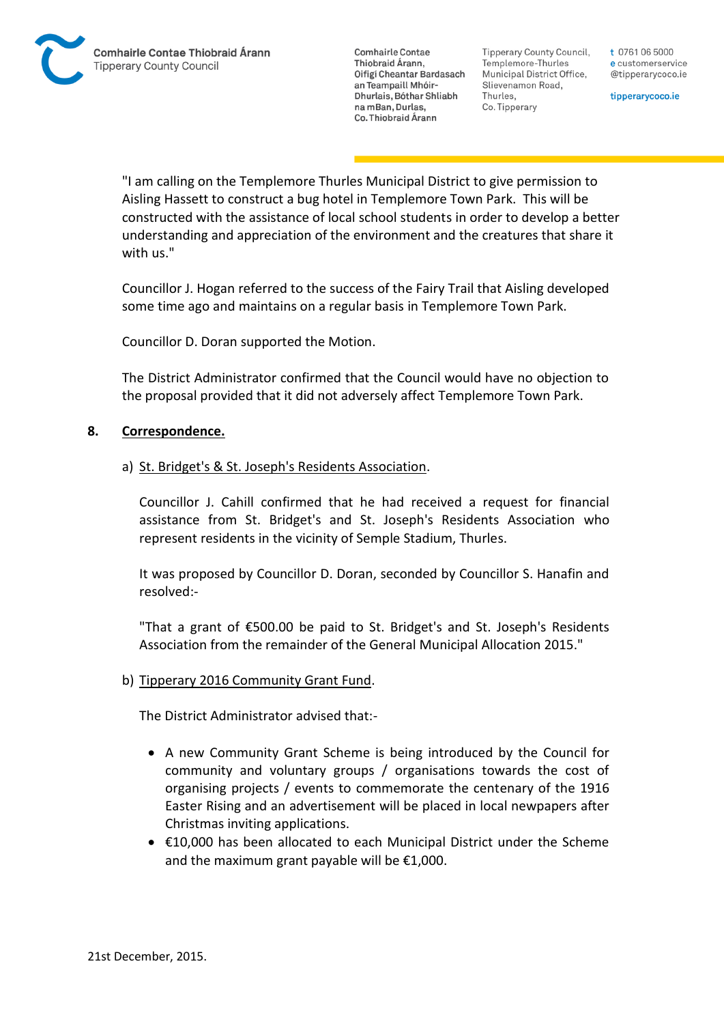Tipperary County Council. Templemore-Thurles Municipal District Office, Slievenamon Road, Thurles, Co. Tipperary

t 0761 06 5000 e customerservice @tipperarycoco.ie

tipperarycoco.ie

"I am calling on the Templemore Thurles Municipal District to give permission to Aisling Hassett to construct a bug hotel in Templemore Town Park. This will be constructed with the assistance of local school students in order to develop a better understanding and appreciation of the environment and the creatures that share it with us."

Councillor J. Hogan referred to the success of the Fairy Trail that Aisling developed some time ago and maintains on a regular basis in Templemore Town Park.

Councillor D. Doran supported the Motion.

The District Administrator confirmed that the Council would have no objection to the proposal provided that it did not adversely affect Templemore Town Park.

#### **8. Correspondence.**

#### a) St. Bridget's & St. Joseph's Residents Association.

Councillor J. Cahill confirmed that he had received a request for financial assistance from St. Bridget's and St. Joseph's Residents Association who represent residents in the vicinity of Semple Stadium, Thurles.

It was proposed by Councillor D. Doran, seconded by Councillor S. Hanafin and resolved:-

"That a grant of €500.00 be paid to St. Bridget's and St. Joseph's Residents Association from the remainder of the General Municipal Allocation 2015."

### b) Tipperary 2016 Community Grant Fund.

The District Administrator advised that:-

- A new Community Grant Scheme is being introduced by the Council for community and voluntary groups / organisations towards the cost of organising projects / events to commemorate the centenary of the 1916 Easter Rising and an advertisement will be placed in local newpapers after Christmas inviting applications.
- €10,000 has been allocated to each Municipal District under the Scheme and the maximum grant payable will be €1,000.